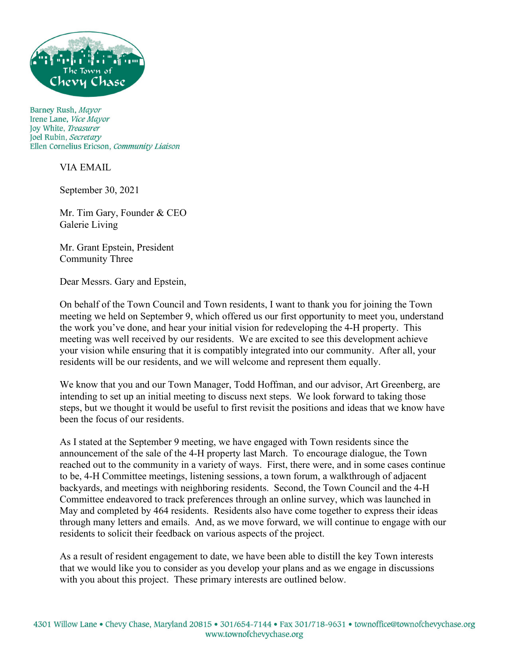

Barney Rush, Mayor Irene Lane, Vice Mayor Joy White, Treasurer Joel Rubin, Secretary Ellen Cornelius Ericson, Community Liaison

VIA EMAIL

September 30, 2021

Mr. Tim Gary, Founder & CEO Galerie Living

Mr. Grant Epstein, President Community Three

Dear Messrs. Gary and Epstein,

On behalf of the Town Council and Town residents, I want to thank you for joining the Town meeting we held on September 9, which offered us our first opportunity to meet you, understand the work you've done, and hear your initial vision for redeveloping the 4-H property. This meeting was well received by our residents. We are excited to see this development achieve your vision while ensuring that it is compatibly integrated into our community. After all, your residents will be our residents, and we will welcome and represent them equally.

We know that you and our Town Manager, Todd Hoffman, and our advisor, Art Greenberg, are intending to set up an initial meeting to discuss next steps. We look forward to taking those steps, but we thought it would be useful to first revisit the positions and ideas that we know have been the focus of our residents.

As I stated at the September 9 meeting, we have engaged with Town residents since the announcement of the sale of the 4-H property last March. To encourage dialogue, the Town reached out to the community in a variety of ways. First, there were, and in some cases continue to be, 4-H Committee meetings, listening sessions, a town forum, a walkthrough of adjacent backyards, and meetings with neighboring residents. Second, the Town Council and the 4-H Committee endeavored to track preferences through an online survey, which was launched in May and completed by 464 residents. Residents also have come together to express their ideas through many letters and emails. And, as we move forward, we will continue to engage with our residents to solicit their feedback on various aspects of the project.

As a result of resident engagement to date, we have been able to distill the key Town interests that we would like you to consider as you develop your plans and as we engage in discussions with you about this project. These primary interests are outlined below.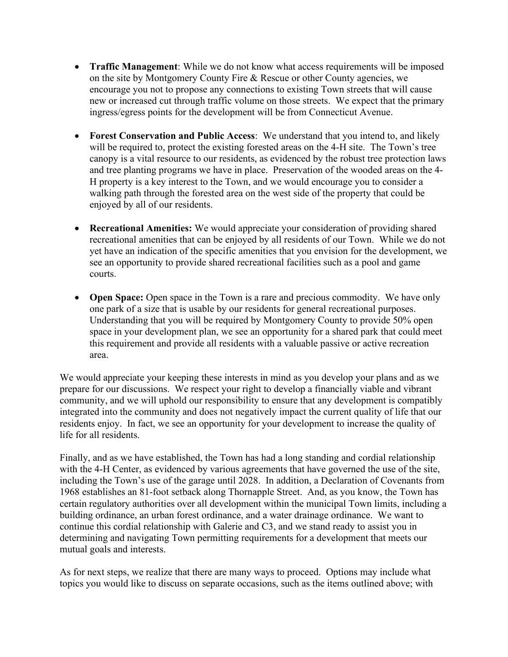- **Traffic Management**: While we do not know what access requirements will be imposed on the site by Montgomery County Fire & Rescue or other County agencies, we encourage you not to propose any connections to existing Town streets that will cause new or increased cut through traffic volume on those streets. We expect that the primary ingress/egress points for the development will be from Connecticut Avenue.
- **Forest Conservation and Public Access**: We understand that you intend to, and likely will be required to, protect the existing forested areas on the 4-H site. The Town's tree canopy is a vital resource to our residents, as evidenced by the robust tree protection laws and tree planting programs we have in place. Preservation of the wooded areas on the 4- H property is a key interest to the Town, and we would encourage you to consider a walking path through the forested area on the west side of the property that could be enjoyed by all of our residents.
- **Recreational Amenities:** We would appreciate your consideration of providing shared recreational amenities that can be enjoyed by all residents of our Town. While we do not yet have an indication of the specific amenities that you envision for the development, we see an opportunity to provide shared recreational facilities such as a pool and game courts.
- **Open Space:** Open space in the Town is a rare and precious commodity. We have only one park of a size that is usable by our residents for general recreational purposes. Understanding that you will be required by Montgomery County to provide 50% open space in your development plan, we see an opportunity for a shared park that could meet this requirement and provide all residents with a valuable passive or active recreation area.

We would appreciate your keeping these interests in mind as you develop your plans and as we prepare for our discussions. We respect your right to develop a financially viable and vibrant community, and we will uphold our responsibility to ensure that any development is compatibly integrated into the community and does not negatively impact the current quality of life that our residents enjoy. In fact, we see an opportunity for your development to increase the quality of life for all residents.

Finally, and as we have established, the Town has had a long standing and cordial relationship with the 4-H Center, as evidenced by various agreements that have governed the use of the site, including the Town's use of the garage until 2028. In addition, a Declaration of Covenants from 1968 establishes an 81-foot setback along Thornapple Street. And, as you know, the Town has certain regulatory authorities over all development within the municipal Town limits, including a building ordinance, an urban forest ordinance, and a water drainage ordinance. We want to continue this cordial relationship with Galerie and C3, and we stand ready to assist you in determining and navigating Town permitting requirements for a development that meets our mutual goals and interests.

As for next steps, we realize that there are many ways to proceed. Options may include what topics you would like to discuss on separate occasions, such as the items outlined above; with